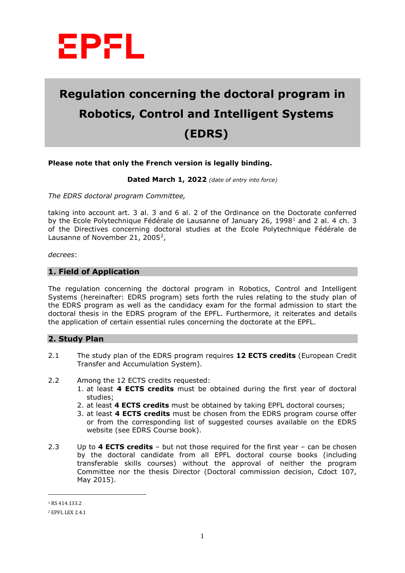

# **Regulation concerning the doctoral program in Robotics, Control and Intelligent Systems (EDRS)**

## **Please note that only the French version is legally binding.**

**Dated March 1, 2022** *(date of entry into force)*

*The EDRS doctoral program Committee,*

taking into account art. 3 al. 3 and 6 al. 2 of the Ordinance on the Doctorate conferred by the Ecole Polytechnique Fédérale de Lausanne of January 26, [1](#page-0-0)998<sup>1</sup> and 2 al. 4 ch. 3 of the Directives concerning doctoral studies at the Ecole Polytechnique Fédérale de Lausanne of November [2](#page-0-1)1, 2005<sup>2</sup>,

*decrees*:

#### **1. Field of Application**

The regulation concerning the doctoral program in Robotics, Control and Intelligent Systems (hereinafter: EDRS program) sets forth the rules relating to the study plan of the EDRS program as well as the candidacy exam for the formal admission to start the doctoral thesis in the EDRS program of the EPFL. Furthermore, it reiterates and details the application of certain essential rules concerning the doctorate at the EPFL.

#### **2. Study Plan**

- 2.1 The study plan of the EDRS program requires **12 ECTS credits** (European Credit Transfer and Accumulation System).
- 2.2 Among the 12 ECTS credits requested:
	- 1. at least **4 ECTS credits** must be obtained during the first year of doctoral studies;
	- 2. at least **4 ECTS credits** must be obtained by taking EPFL doctoral courses;
	- 3. at least **4 ECTS credits** must be chosen from the EDRS program course offer or from the corresponding list of suggested courses available on the EDRS website (see EDRS Course book).
- 2.3 Up to **4 ECTS credits** but not those required for the first year can be chosen by the doctoral candidate from all EPFL doctoral course books (including transferable skills courses) without the approval of neither the program Committee nor the thesis Director (Doctoral commission decision, Cdoct 107, May 2015).

 $\overline{a}$ 

<span id="page-0-0"></span><sup>1</sup> RS 414.133.2

<span id="page-0-1"></span><sup>2</sup> EPFL LEX 2.4.1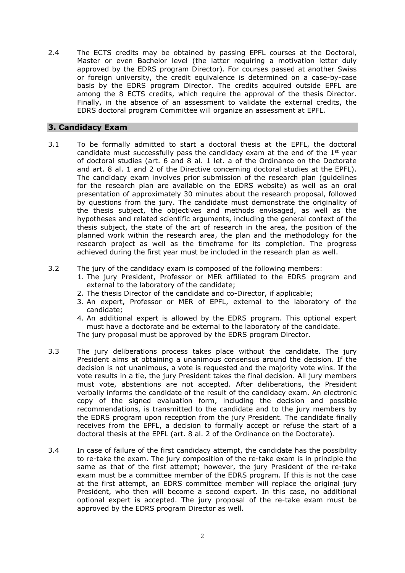2.4 The ECTS credits may be obtained by passing EPFL courses at the Doctoral, Master or even Bachelor level (the latter requiring a motivation letter duly approved by the EDRS program Director). For courses passed at another Swiss or foreign university, the credit equivalence is determined on a case-by-case basis by the EDRS program Director. The credits acquired outside EPFL are among the 8 ECTS credits, which require the approval of the thesis Director. Finally, in the absence of an assessment to validate the external credits, the EDRS doctoral program Committee will organize an assessment at EPFL.

# **3. Candidacy Exam**

- 3.1 To be formally admitted to start a doctoral thesis at the EPFL, the doctoral candidate must successfully pass the candidacy exam at the end of the  $1<sup>st</sup>$  year of doctoral studies (art. 6 and 8 al. 1 let. a of the Ordinance on the Doctorate and art. 8 al. 1 and 2 of the Directive concerning doctoral studies at the EPFL). The candidacy exam involves prior submission of the research plan (guidelines for the research plan are available on the EDRS website) as well as an oral presentation of approximately 30 minutes about the research proposal, followed by questions from the jury. The candidate must demonstrate the originality of the thesis subject, the objectives and methods envisaged, as well as the hypotheses and related scientific arguments, including the general context of the thesis subject, the state of the art of research in the area, the position of the planned work within the research area, the plan and the methodology for the research project as well as the timeframe for its completion. The progress achieved during the first year must be included in the research plan as well.
- 3.2 The jury of the candidacy exam is composed of the following members:
	- 1. The jury President, Professor or MER affiliated to the EDRS program and external to the laboratory of the candidate;
	- 2. The thesis Director of the candidate and co-Director, if applicable;
	- 3. An expert, Professor or MER of EPFL, external to the laboratory of the candidate;
	- 4. An additional expert is allowed by the EDRS program. This optional expert must have a doctorate and be external to the laboratory of the candidate.

The jury proposal must be approved by the EDRS program Director.

- 3.3 The jury deliberations process takes place without the candidate. The jury President aims at obtaining a unanimous consensus around the decision. If the decision is not unanimous, a vote is requested and the majority vote wins. If the vote results in a tie, the jury President takes the final decision. All jury members must vote, abstentions are not accepted. After deliberations, the President verbally informs the candidate of the result of the candidacy exam. An electronic copy of the signed evaluation form, including the decision and possible recommendations, is transmitted to the candidate and to the jury members by the EDRS program upon reception from the jury President. The candidate finally receives from the EPFL, a decision to formally accept or refuse the start of a doctoral thesis at the EPFL (art. 8 al. 2 of the Ordinance on the Doctorate).
- 3.4 In case of failure of the first candidacy attempt, the candidate has the possibility to re-take the exam. The jury composition of the re-take exam is in principle the same as that of the first attempt; however, the jury President of the re-take exam must be a committee member of the EDRS program. If this is not the case at the first attempt, an EDRS committee member will replace the original jury President, who then will become a second expert. In this case, no additional optional expert is accepted. The jury proposal of the re-take exam must be approved by the EDRS program Director as well.